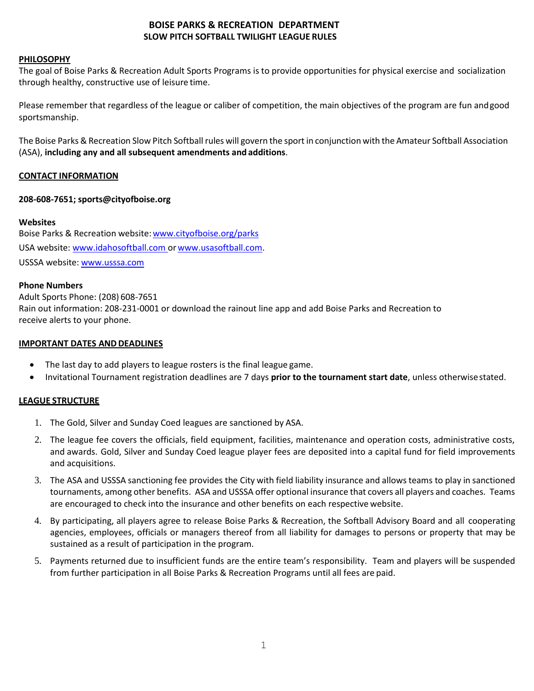# **BOISE PARKS & RECREATION DEPARTMENT SLOW PITCH SOFTBALL TWILIGHT LEAGUE RULES**

#### **PHILOSOPHY**

The goal of Boise Parks & Recreation Adult Sports Programs is to provide opportunities for physical exercise and socialization through healthy, constructive use of leisure time.

Please remember that regardless of the league or caliber of competition, the main objectives of the program are fun andgood sportsmanship.

The Boise Parks & Recreation Slow Pitch Softball rules will govern the sport in conjunction with the Amateur Softball Association (ASA), **including any and all subsequent amendments and additions**.

## **CONTACT INFORMATION**

## **208-608-7651; sports@cityofboise.org**

#### **Websites**

Boise Parks & Recreation website: [www.cityofboise.org/parks](http://www.cityofboise.org/parks) USA website: [www.idahosoftball.com o](http://www.idahosoftball.com/)r [www.usasoftball.com.](http://www.usasoftball.com/) USSSA website: [www.usssa.com](http://www.usssa.com/)

#### **Phone Numbers**

Adult Sports Phone: (208) 608-7651 Rain out information: 208-231-0001 or download the rainout line app and add Boise Parks and Recreation to receive alerts to your phone.

#### **IMPORTANT DATES AND DEADLINES**

- The last day to add players to league rosters is the final league game.
- Invitational Tournament registration deadlines are 7 days **prior to the tournament start date**, unless otherwisestated.

#### **LEAGUE STRUCTURE**

- 1. The Gold, Silver and Sunday Coed leagues are sanctioned by ASA.
- 2. The league fee covers the officials, field equipment, facilities, maintenance and operation costs, administrative costs, and awards. Gold, Silver and Sunday Coed league player fees are deposited into a capital fund for field improvements and acquisitions.
- 3. The ASA and USSSA sanctioning fee provides the City with field liability insurance and allows teams to play in sanctioned tournaments, among other benefits. ASA and USSSA offer optional insurance that covers all players and coaches. Teams are encouraged to check into the insurance and other benefits on each respective website.
- 4. By participating, all players agree to release Boise Parks & Recreation, the Softball Advisory Board and all cooperating agencies, employees, officials or managers thereof from all liability for damages to persons or property that may be sustained as a result of participation in the program.
- 5. Payments returned due to insufficient funds are the entire team's responsibility. Team and players will be suspended from further participation in all Boise Parks & Recreation Programs until all fees are paid.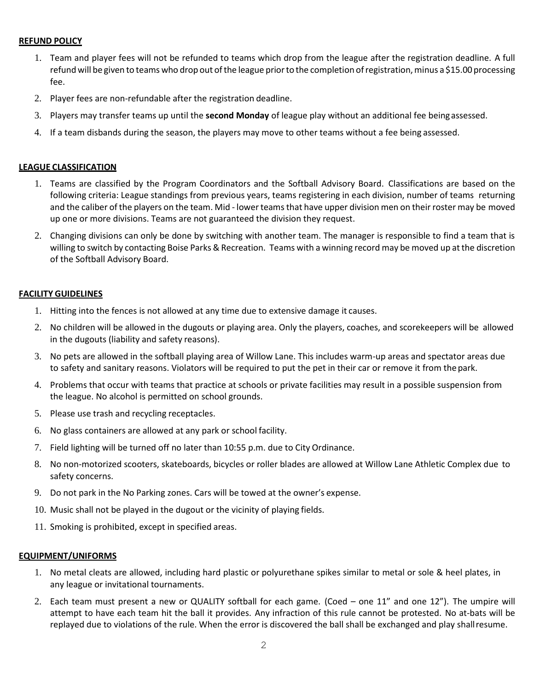#### **REFUND POLICY**

- 1. Team and player fees will not be refunded to teams which drop from the league after the registration deadline. A full refund will be given to teams who drop out of the league prior to the completion of registration, minus a \$15.00 processing fee.
- 2. Player fees are non-refundable after the registration deadline.
- 3. Players may transfer teams up until the **second Monday** of league play without an additional fee beingassessed.
- 4. If a team disbands during the season, the players may move to other teams without a fee being assessed.

#### **LEAGUE CLASSIFICATION**

- 1. Teams are classified by the Program Coordinators and the Softball Advisory Board. Classifications are based on the following criteria: League standings from previous years, teams registering in each division, number of teams returning and the caliber of the players on the team. Mid - lower teams that have upper division men on their roster may be moved up one or more divisions. Teams are not guaranteed the division they request.
- 2. Changing divisions can only be done by switching with another team. The manager is responsible to find a team that is willing to switch by contacting Boise Parks & Recreation. Teams with a winning record may be moved up at the discretion of the Softball Advisory Board.

#### **FACILITY GUIDELINES**

- 1. Hitting into the fences is not allowed at any time due to extensive damage it causes.
- 2. No children will be allowed in the dugouts or playing area. Only the players, coaches, and scorekeepers will be allowed in the dugouts (liability and safety reasons).
- 3. No pets are allowed in the softball playing area of Willow Lane. This includes warm-up areas and spectator areas due to safety and sanitary reasons. Violators will be required to put the pet in their car or remove it from thepark.
- 4. Problems that occur with teams that practice at schools or private facilities may result in a possible suspension from the league. No alcohol is permitted on school grounds.
- 5. Please use trash and recycling receptacles.
- 6. No glass containers are allowed at any park or school facility.
- 7. Field lighting will be turned off no later than 10:55 p.m. due to City Ordinance.
- 8. No non-motorized scooters, skateboards, bicycles or roller blades are allowed at Willow Lane Athletic Complex due to safety concerns.
- 9. Do not park in the No Parking zones. Cars will be towed at the owner's expense.
- 10. Music shall not be played in the dugout or the vicinity of playing fields.
- 11. Smoking is prohibited, except in specified areas.

#### **EQUIPMENT/UNIFORMS**

- 1. No metal cleats are allowed, including hard plastic or polyurethane spikes similar to metal or sole & heel plates, in any league or invitational tournaments.
- 2. Each team must present a new or QUALITY softball for each game. (Coed one 11" and one 12"). The umpire will attempt to have each team hit the ball it provides. Any infraction of this rule cannot be protested. No at-bats will be replayed due to violations of the rule. When the error is discovered the ball shall be exchanged and play shallresume.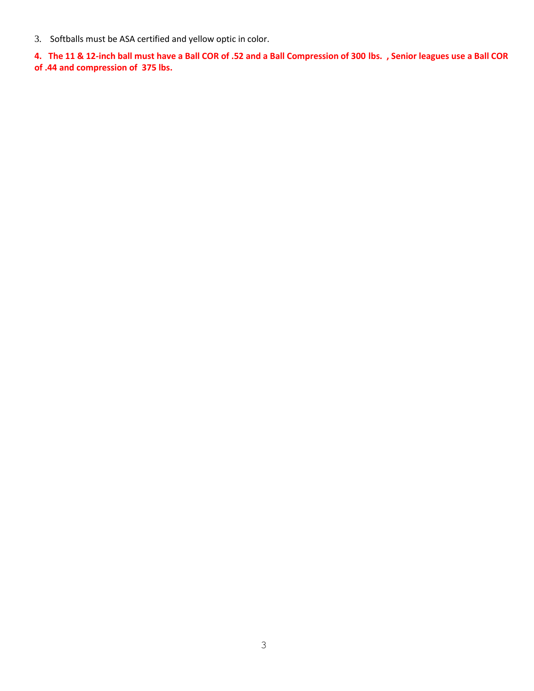3. Softballs must be ASA certified and yellow optic in color.

**4. The 11 & 12-inch ball must have a Ball COR of .52 and a Ball Compression of 300 lbs. , Senior leagues use a Ball COR of .44 and compression of 375 lbs.**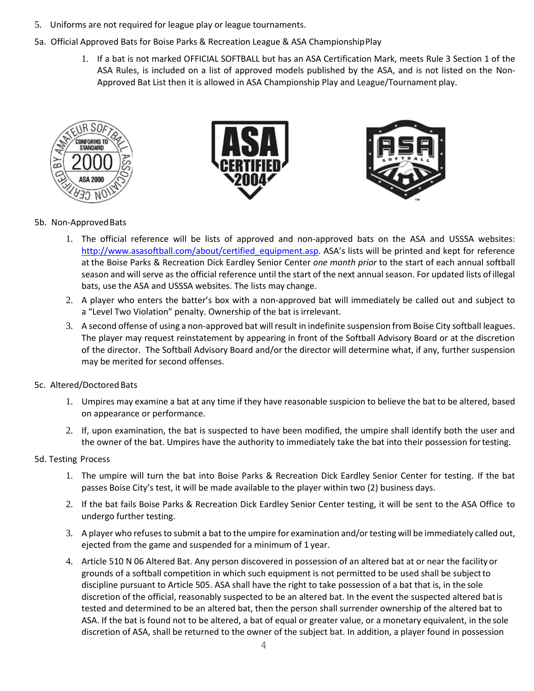- 5. Uniforms are not required for league play or league tournaments.
- 5a. Official Approved Bats for Boise Parks & Recreation League & ASA ChampionshipPlay
	- 1. If a bat is not marked OFFICIAL SOFTBALL but has an ASA Certification Mark, meets Rule 3 Section 1 of the ASA Rules, is included on a list of approved models published by the ASA, and is not listed on the Non-Approved Bat List then it is allowed in ASA Championship Play and League/Tournament play.







## 5b. Non-Approved Bats

- 1. The official reference will be lists of approved and non-approved bats on the ASA and USSSA websites: [http://www.asasoftball.com/about/certified\\_equipment.asp.](http://www.asasoftball.com/about/certified_equipment.asp) ASA's lists will be printed and kept for reference at the Boise Parks & Recreation Dick Eardley Senior Center *one month prior* to the start of each annual softball season and will serve as the official reference until the start of the next annual season. For updated lists ofillegal bats, use the ASA and USSSA websites. The lists may change.
- 2. A player who enters the batter's box with a non-approved bat will immediately be called out and subject to a "Level Two Violation" penalty. Ownership of the bat is irrelevant.
- 3. A second offense of using a non-approved bat will result in indefinite suspension from Boise City softball leagues. The player may request reinstatement by appearing in front of the Softball Advisory Board or at the discretion of the director. The Softball Advisory Board and/or the director will determine what, if any, further suspension may be merited for second offenses.

# 5c. Altered/Doctored Bats

- 1. Umpires may examine a bat at any time if they have reasonable suspicion to believe the bat to be altered, based on appearance or performance.
- 2. If, upon examination, the bat is suspected to have been modified, the umpire shall identify both the user and the owner of the bat. Umpires have the authority to immediately take the bat into their possession fortesting.

#### 5d. Testing Process

- 1. The umpire will turn the bat into Boise Parks & Recreation Dick Eardley Senior Center for testing. If the bat passes Boise City's test, it will be made available to the player within two (2) business days.
- 2. If the bat fails Boise Parks & Recreation Dick Eardley Senior Center testing, it will be sent to the ASA Office to undergo further testing.
- 3. A player who refusesto submit a bat to the umpire for examination and/ortesting will be immediately called out, ejected from the game and suspended for a minimum of 1 year.
- 4. Article 510 N 06 Altered Bat. Any person discovered in possession of an altered bat at or near the facility or grounds of a softball competition in which such equipment is not permitted to be used shall be subjectto discipline pursuant to Article 505. ASA shall have the right to take possession of a bat that is, in the sole discretion of the official, reasonably suspected to be an altered bat. In the event the suspected altered batis tested and determined to be an altered bat, then the person shall surrender ownership of the altered bat to ASA. If the bat is found not to be altered, a bat of equal or greater value, or a monetary equivalent, in the sole discretion of ASA, shall be returned to the owner of the subject bat. In addition, a player found in possession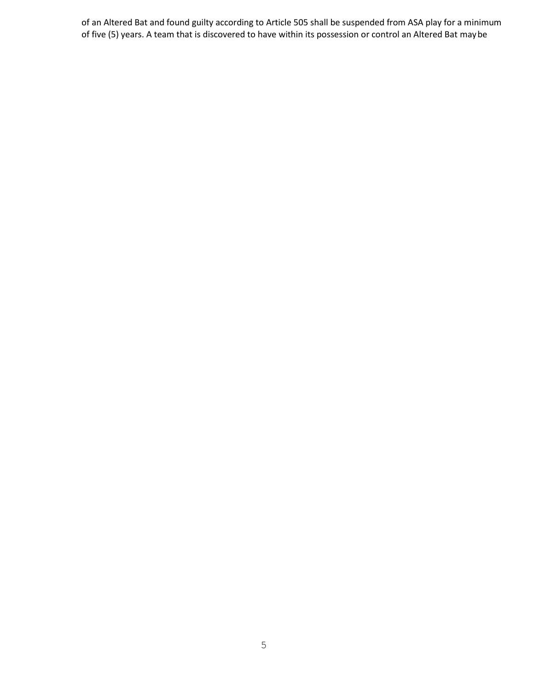of an Altered Bat and found guilty according to Article 505 shall be suspended from ASA play for a minimum of five (5) years. A team that is discovered to have within its possession or control an Altered Bat maybe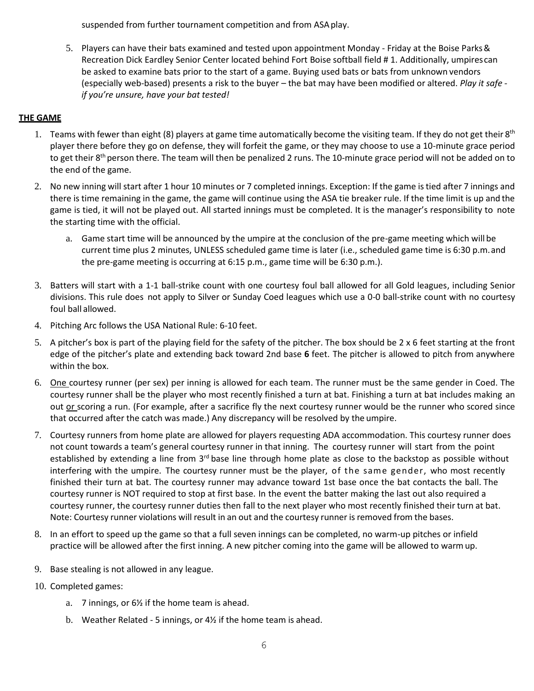suspended from further tournament competition and from ASAplay.

5. Players can have their bats examined and tested upon appointment Monday - Friday at the Boise Parks& Recreation Dick Eardley Senior Center located behind Fort Boise softball field # 1. Additionally, umpirescan be asked to examine bats prior to the start of a game. Buying used bats or bats from unknown vendors (especially web-based) presents a risk to the buyer – the bat may have been modified or altered. *Play it safe if you're unsure, have your bat tested!*

# **THE GAME**

- 1. Teams with fewer than eight (8) players at game time automatically become the visiting team. If they do not get their 8<sup>th</sup> player there before they go on defense, they will forfeit the game, or they may choose to use a 10-minute grace period to get their  $8^{th}$  person there. The team will then be penalized 2 runs. The 10-minute grace period will not be added on to the end of the game.
- 2. No new inning will start after 1 hour 10 minutes or 7 completed innings. Exception: If the game istied after 7 innings and there is time remaining in the game, the game will continue using the ASA tie breaker rule. If the time limit is up and the game is tied, it will not be played out. All started innings must be completed. It is the manager's responsibility to note the starting time with the official.
	- a. Game start time will be announced by the umpire at the conclusion of the pre-game meeting which will be current time plus 2 minutes, UNLESS scheduled game time is later (i.e., scheduled game time is 6:30 p.m.and the pre-game meeting is occurring at 6:15 p.m., game time will be 6:30 p.m.).
- 3. Batters will start with a 1-1 ball-strike count with one courtesy foul ball allowed for all Gold leagues, including Senior divisions. This rule does not apply to Silver or Sunday Coed leagues which use a 0-0 ball-strike count with no courtesy foul ball allowed.
- 4. Pitching Arc follows the USA National Rule: 6-10 feet.
- 5. A pitcher's box is part of the playing field for the safety of the pitcher. The box should be 2 x 6 feet starting at the front edge of the pitcher's plate and extending back toward 2nd base **6** feet. The pitcher is allowed to pitch from anywhere within the box.
- 6. One courtesy runner (per sex) per inning is allowed for each team. The runner must be the same gender in Coed. The courtesy runner shall be the player who most recently finished a turn at bat. Finishing a turn at bat includes making an out or scoring a run. (For example, after a sacrifice fly the next courtesy runner would be the runner who scored since that occurred after the catch was made.) Any discrepancy will be resolved by the umpire.
- 7. Courtesy runners from home plate are allowed for players requesting ADA accommodation. This courtesy runner does not count towards a team's general courtesy runner in that inning. The courtesy runner will start from the point established by extending a line from 3<sup>rd</sup> base line through home plate as close to the backstop as possible without interfering with the umpire. The courtesy runner must be the player, of the same gender, who most recently finished their turn at bat. The courtesy runner may advance toward 1st base once the bat contacts the ball. The courtesy runner is NOT required to stop at first base. In the event the batter making the last out also required a courtesy runner, the courtesy runner duties then fall to the next player who most recently finished their turn at bat. Note: Courtesy runner violations will result in an out and the courtesy runner is removed from the bases.
- 8. In an effort to speed up the game so that a full seven innings can be completed, no warm-up pitches or infield practice will be allowed after the first inning. A new pitcher coming into the game will be allowed to warmup.
- 9. Base stealing is not allowed in any league.
- 10. Completed games:
	- a. 7 innings, or 6½ if the home team is ahead.
	- b. Weather Related 5 innings, or 4½ if the home team is ahead.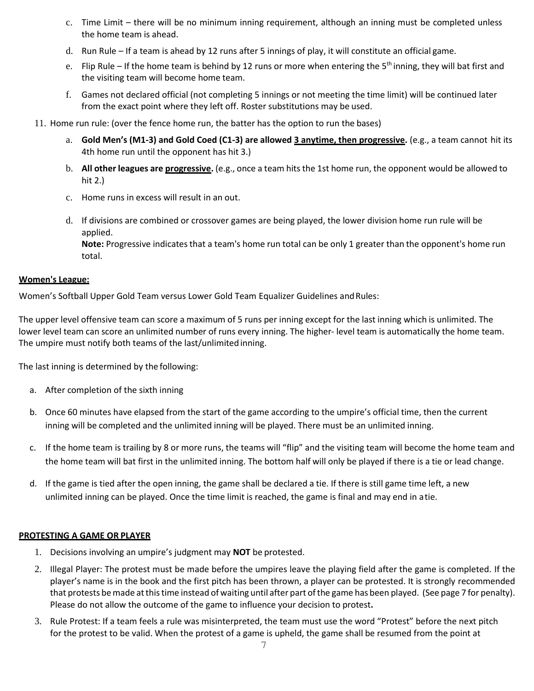- c. Time Limit there will be no minimum inning requirement, although an inning must be completed unless the home team is ahead.
- d. Run Rule If a team is ahead by 12 runs after 5 innings of play, it will constitute an official game.
- e. Flip Rule If the home team is behind by 12 runs or more when entering the 5<sup>th</sup> inning, they will bat first and the visiting team will become home team.
- f. Games not declared official (not completing 5 innings or not meeting the time limit) will be continued later from the exact point where they left off. Roster substitutions may be used.
- 11. Home run rule: (over the fence home run, the batter has the option to run the bases)
	- a. **Gold Men's (M1-3) and Gold Coed (C1-3) are allowed 3 anytime, then progressive.** (e.g., a team cannot hit its 4th home run until the opponent has hit 3.)
	- b. **All other leagues are progressive.** (e.g., once a team hits the 1st home run, the opponent would be allowed to hit 2.)
	- c. Home runs in excess will result in an out.
	- d. If divisions are combined or crossover games are being played, the lower division home run rule will be applied.

Note: Progressive indicates that a team's home run total can be only 1 greater than the opponent's home run total.

#### **Women's League:**

Women's Softball Upper Gold Team versus Lower Gold Team Equalizer Guidelines andRules:

The upper level offensive team can score a maximum of 5 runs per inning except for the last inning which is unlimited. The lower level team can score an unlimited number of runs every inning. The higher- level team is automatically the home team. The umpire must notify both teams of the last/unlimited inning.

The last inning is determined by the following:

- a. After completion of the sixth inning
- b. Once 60 minutes have elapsed from the start of the game according to the umpire's official time, then the current inning will be completed and the unlimited inning will be played. There must be an unlimited inning.
- c. If the home team is trailing by 8 or more runs, the teams will "flip" and the visiting team will become the home team and the home team will bat first in the unlimited inning. The bottom half will only be played if there is a tie or lead change.
- d. If the game is tied after the open inning, the game shall be declared a tie. If there is still game time left, a new unlimited inning can be played. Once the time limit is reached, the game is final and may end in atie.

#### **PROTESTING A GAME OR PLAYER**

- 1. Decisions involving an umpire's judgment may **NOT** be protested.
- 2. Illegal Player: The protest must be made before the umpires leave the playing field after the game is completed. If the player's name is in the book and the first pitch has been thrown, a player can be protested. It is strongly recommended that protests bemade atthistime instead of waiting until after part ofthe game has been played. (See page 7 for penalty). Please do not allow the outcome of the game to influence your decision to protest**.**
- 3. Rule Protest: If a team feels a rule was misinterpreted, the team must use the word "Protest" before the next pitch for the protest to be valid. When the protest of a game is upheld, the game shall be resumed from the point at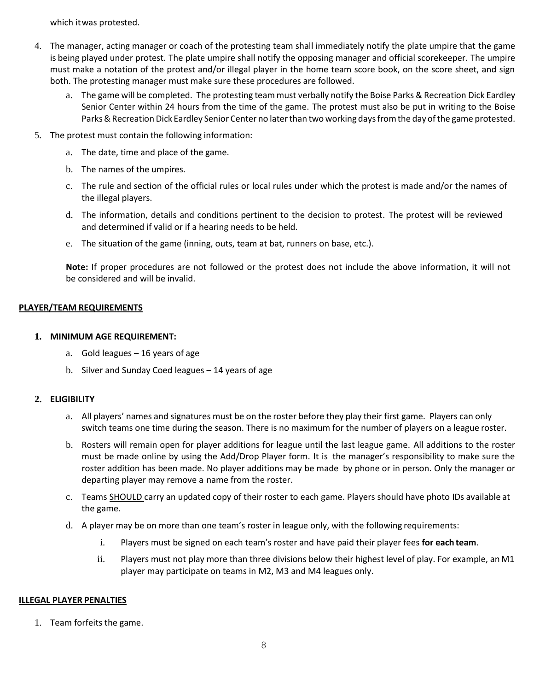which itwas protested.

- 4. The manager, acting manager or coach of the protesting team shall immediately notify the plate umpire that the game is being played under protest. The plate umpire shall notify the opposing manager and official scorekeeper. The umpire must make a notation of the protest and/or illegal player in the home team score book, on the score sheet, and sign both. The protesting manager must make sure these procedures are followed.
	- a. The game will be completed. The protesting teammust verbally notify the Boise Parks & Recreation Dick Eardley Senior Center within 24 hours from the time of the game. The protest must also be put in writing to the Boise Parks & Recreation Dick Eardley Senior Center no later than two working days from the day of the game protested.
- 5. The protest must contain the following information:
	- a. The date, time and place of the game.
	- b. The names of the umpires.
	- c. The rule and section of the official rules or local rules under which the protest is made and/or the names of the illegal players.
	- d. The information, details and conditions pertinent to the decision to protest. The protest will be reviewed and determined if valid or if a hearing needs to be held.
	- e. The situation of the game (inning, outs, team at bat, runners on base, etc.).

**Note:** If proper procedures are not followed or the protest does not include the above information, it will not be considered and will be invalid.

## **PLAYER/TEAM REQUIREMENTS**

## **1. MINIMUM AGE REQUIREMENT:**

- a. Gold leagues 16 years of age
- b. Silver and Sunday Coed leagues 14 years of age

#### **2. ELIGIBILITY**

- a. All players' names and signatures must be on the roster before they play their first game. Players can only switch teams one time during the season. There is no maximum for the number of players on a league roster.
- b. Rosters will remain open for player additions for league until the last league game. All additions to the roster must be made online by using the Add/Drop Player form. It is the manager's responsibility to make sure the roster addition has been made. No player additions may be made by phone or in person. Only the manager or departing player may remove a name from the roster.
- c. Teams SHOULD carry an updated copy of their roster to each game. Players should have photo IDs available at the game.
- d. A player may be on more than one team's roster in league only, with the following requirements:
	- i. Players must be signed on each team's roster and have paid their player fees **for each team**.
	- ii. Players must not play more than three divisions below their highest level of play. For example, anM1 player may participate on teams in M2, M3 and M4 leagues only.

#### **ILLEGAL PLAYER PENALTIES**

1. Team forfeits the game.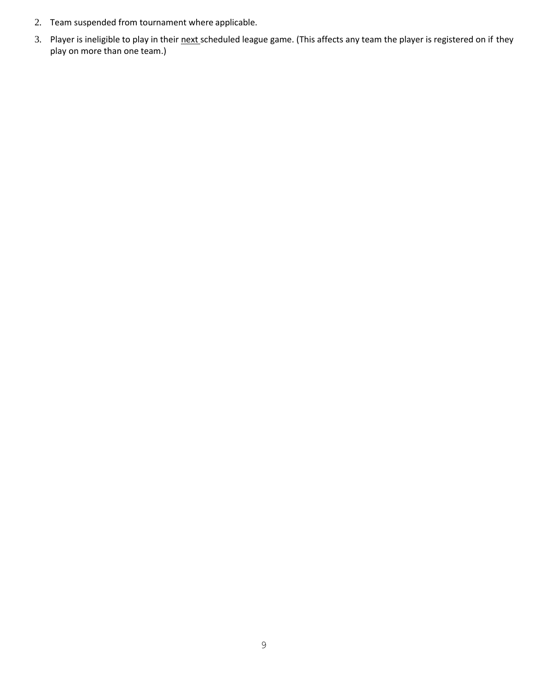- 2. Team suspended from tournament where applicable.
- 3. Player is ineligible to play in their next scheduled league game. (This affects any team the player is registered on if they play on more than one team.)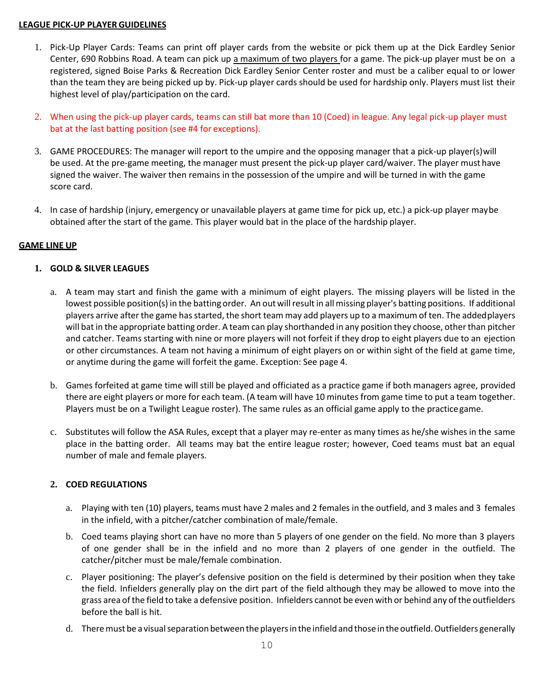#### **LEAGUE PICK-UP PLAYERGUIDELINES**

- 1. Pick-Up Player Cards: Teams can print off player cards from the website or pick them up at the Dick Eardley Senior Center, 690 Robbins Road. A team can pick up a maximum of two players for a game. The pick-up player must be on a registered, signed Boise Parks & Recreation Dick Eardley Senior Center roster and must be a caliber equal to or lower than the team they are being picked up by. Pick-up player cards should be used for hardship only. Players must list their highest level of play/participation on the card.
- 2. When using the pick-up player cards, teams can still bat more than 10 (Coed) in league. Any legal pick-up player must bat at the last batting position (see #4 for exceptions).
- 3. GAME PROCEDURES: The manager will report to the umpire and the opposing manager that a pick-up player(s)will be used. At the pre-game meeting, the manager must present the pick-up player card/waiver. The player must have signed the waiver. The waiver then remains in the possession of the umpire and will be turned in with the game score card.
- 4. In case of hardship (injury, emergency or unavailable players at game time for pick up, etc.) a pick-up player maybe obtained after the start of the game. This player would bat in the place of the hardship player.

#### **GAME LINE UP**

## **1. GOLD & SILVER LEAGUES**

- a. A team may start and finish the game with a minimum of eight players. The missing players will be listed in the lowest possible position(s) in the batting order. An out will result in all missing player's batting positions. If additional players arrive after the game has started, the short team may add players up to a maximum of ten. The addedplayers will bat in the appropriate batting order. A team can play shorthanded in any position they choose, other than pitcher and catcher. Teams starting with nine or more players will not forfeit if they drop to eight players due to an ejection or other circumstances. A team not having a minimum of eight players on or within sight of the field at game time, or anytime during the game will forfeit the game. Exception: See page 4.
- b. Games forfeited at game time will still be played and officiated as a practice game if both managers agree, provided there are eight players or more for each team. (A team will have 10 minutes from game time to put a team together. Players must be on a Twilight League roster). The same rules as an official game apply to the practicegame.
- c. Substitutes will follow the ASA Rules, except that a player may re-enter as many times as he/she wishes in the same place in the batting order. All teams may bat the entire league roster; however, Coed teams must bat an equal number of male and female players.

#### **2. COED REGULATIONS**

- a. Playing with ten (10) players, teams must have 2 males and 2 females in the outfield, and 3 males and 3 females in the infield, with a pitcher/catcher combination of male/female.
- b. Coed teams playing short can have no more than 5 players of one gender on the field. No more than 3 players of one gender shall be in the infield and no more than 2 players of one gender in the outfield. The catcher/pitcher must be male/female combination.
- c. Player positioning: The player's defensive position on the field is determined by their position when they take the field. Infielders generally play on the dirt part of the field although they may be allowed to move into the grass area ofthe field to take a defensive position. Infielders cannot be even with or behind any ofthe outfielders before the ball is hit.
- d. There must be a visual separation between the players in the infield and those in the outfield. Outfielders generally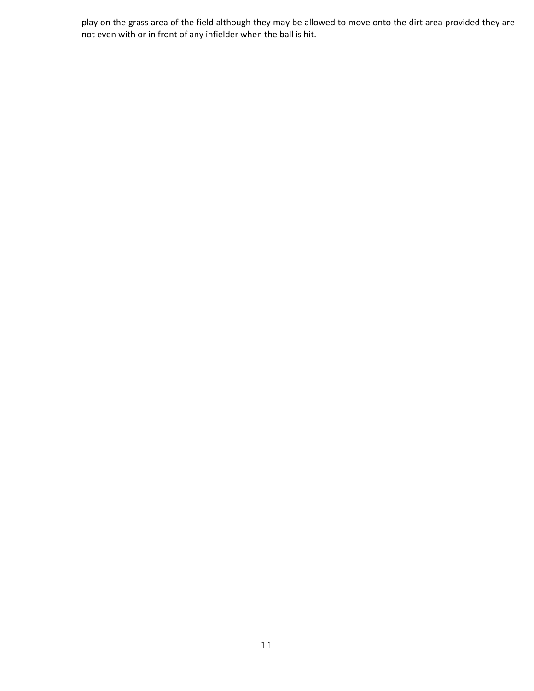play on the grass area of the field although they may be allowed to move onto the dirt area provided they are not even with or in front of any infielder when the ball is hit.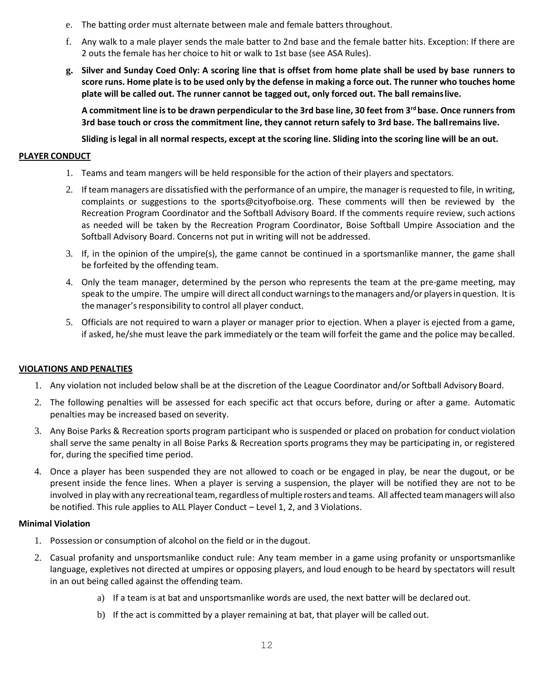- e. The batting order must alternate between male and female batters throughout.
- f. Any walk to a male player sends the male batter to 2nd base and the female batter hits. Exception: If there are 2 outs the female has her choice to hit or walk to 1st base (see ASA Rules).
- **g. Silver and Sunday Coed Only: A scoring line that is offset from home plate shall be used by base runners to score runs. Home plate is to be used only by the defense in making a force out. The runner who touches home plate will be called out. The runner cannot be tagged out, only forced out. The ball remainslive.**

**A commitment line is to be drawn perpendicular to the 3rd base line, 30 feet from 3rd base. Once runnersfrom 3rd base touch or cross the commitment line, they cannot return safely to 3rd base. The ballremains live.**

Sliding is legal in all normal respects, except at the scoring line. Sliding into the scoring line will be an out.

## **PLAYER CONDUCT**

- 1. Teams and team mangers will be held responsible for the action of their players and spectators.
- 2. If team managers are dissatisfied with the performance of an umpire, the manager is requested to file, in writing, complaints or suggestions to the [sports@cityofboise.org.](mailto:sports@cityofboise.org) These comments will then be reviewed by the Recreation Program Coordinator and the Softball Advisory Board. If the comments require review, such actions as needed will be taken by the Recreation Program Coordinator, Boise Softball Umpire Association and the Softball Advisory Board. Concerns not put in writing will not be addressed.
- 3. If, in the opinion of the umpire(s), the game cannot be continued in a sportsmanlike manner, the game shall be forfeited by the offending team.
- 4. Only the team manager, determined by the person who represents the team at the pre-game meeting, may speak to the umpire. The umpire will direct all conduct warnings to the managers and/or players in question. It is the manager's responsibility to control all player conduct.
- 5. Officials are not required to warn a player or manager prior to ejection. When a player is ejected from a game, if asked, he/she must leave the park immediately or the team will forfeit the game and the police may becalled.

#### **VIOLATIONS AND PENALTIES**

- 1. Any violation not included below shall be at the discretion of the League Coordinator and/or Softball Advisory Board.
- 2. The following penalties will be assessed for each specific act that occurs before, during or after a game. Automatic penalties may be increased based on severity.
- 3. Any Boise Parks & Recreation sports program participant who is suspended or placed on probation for conduct violation shall serve the same penalty in all Boise Parks & Recreation sports programs they may be participating in, or registered for, during the specified time period.
- 4. Once a player has been suspended they are not allowed to coach or be engaged in play, be near the dugout, or be present inside the fence lines. When a player is serving a suspension, the player will be notified they are not to be involved in play with any recreational team, regardless of multiple rosters and teams. All affected team managers will also be notified. This rule applies to ALL Player Conduct – Level 1, 2, and 3 Violations.

#### **Minimal Violation**

- 1. Possession or consumption of alcohol on the field or in the dugout.
- 2. Casual profanity and unsportsmanlike conduct rule: Any team member in a game using profanity or unsportsmanlike language, expletives not directed at umpires or opposing players, and loud enough to be heard by spectators will result in an out being called against the offending team.
	- a) If a team is at bat and unsportsmanlike words are used, the next batter will be declared out.
	- b) If the act is committed by a player remaining at bat, that player will be called out.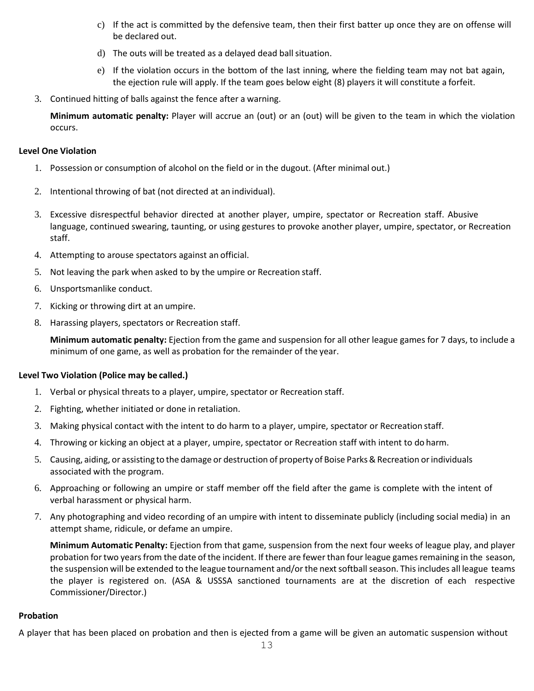- c) If the act is committed by the defensive team, then their first batter up once they are on offense will be declared out.
- d) The outs will be treated as a delayed dead ball situation.
- e) If the violation occurs in the bottom of the last inning, where the fielding team may not bat again, the ejection rule will apply. If the team goes below eight (8) players it will constitute a forfeit.
- 3. Continued hitting of balls against the fence after a warning.

**Minimum automatic penalty:** Player will accrue an (out) or an (out) will be given to the team in which the violation occurs.

#### **Level One Violation**

- 1. Possession or consumption of alcohol on the field or in the dugout. (After minimal out.)
- 2. Intentional throwing of bat (not directed at an individual).
- 3. Excessive disrespectful behavior directed at another player, umpire, spectator or Recreation staff. Abusive language, continued swearing, taunting, or using gestures to provoke another player, umpire, spectator, or Recreation staff.
- 4. Attempting to arouse spectators against an official.
- 5. Not leaving the park when asked to by the umpire or Recreation staff.
- 6. Unsportsmanlike conduct.
- 7. Kicking or throwing dirt at an umpire.
- 8. Harassing players, spectators or Recreation staff.

**Minimum automatic penalty:** Ejection from the game and suspension for all other league games for 7 days, to include a minimum of one game, as well as probation for the remainder of the year.

#### **Level Two Violation (Police may be called.)**

- 1. Verbal or physical threats to a player, umpire, spectator or Recreation staff.
- 2. Fighting, whether initiated or done in retaliation.
- 3. Making physical contact with the intent to do harm to a player, umpire, spectator or Recreation staff.
- 4. Throwing or kicking an object at a player, umpire, spectator or Recreation staff with intent to do harm.
- 5. Causing, aiding, or assisting to the damage or destruction of property of Boise Parks&Recreation orindividuals associated with the program.
- 6. Approaching or following an umpire or staff member off the field after the game is complete with the intent of verbal harassment or physical harm.
- 7. Any photographing and video recording of an umpire with intent to disseminate publicly (including social media) in an attempt shame, ridicule, or defame an umpire.

**Minimum Automatic Penalty:** Ejection from that game, suspension from the next four weeks of league play, and player probation for two years from the date of the incident. If there are fewer than four league games remaining in the season, the suspension will be extended to the league tournament and/or the next softball season. This includes all league teams the player is registered on. (ASA & USSSA sanctioned tournaments are at the discretion of each respective Commissioner/Director.)

#### **Probation**

A player that has been placed on probation and then is ejected from a game will be given an automatic suspension without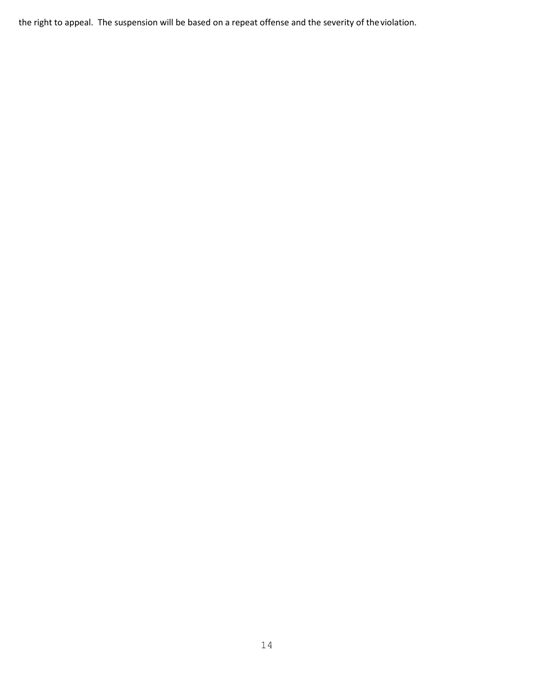the right to appeal. The suspension will be based on a repeat offense and the severity of theviolation.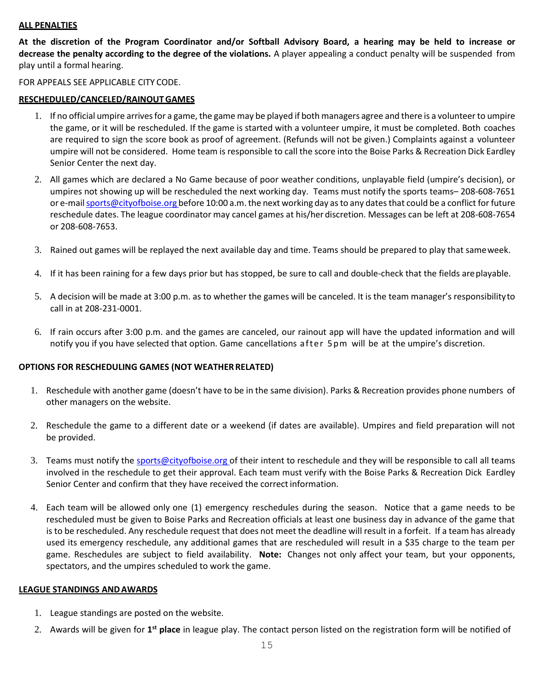#### **ALL PENALTIES**

At the discretion of the Program Coordinator and/or Softball Advisory Board, a hearing may be held to increase or **decrease the penalty according to the degree of the violations.** A player appealing a conduct penalty will be suspended from play until a formal hearing.

#### FOR APPEALS SEE APPLICABLE CITY CODE.

# **RESCHEDULED/CANCELED/RAINOUTGAMES**

- 1. If no official umpire arrivesfor a game, the game may be played if both managers agree and there is a volunteerto umpire the game, or it will be rescheduled. If the game is started with a volunteer umpire, it must be completed. Both coaches are required to sign the score book as proof of agreement. (Refunds will not be given.) Complaints against a volunteer umpire will not be considered. Home team is responsible to call the score into the Boise Parks & Recreation Dick Eardley Senior Center the next day.
- 2. All games which are declared a No Game because of poor weather conditions, unplayable field (umpire's decision), or umpires not showing up will be rescheduled the next working day. Teams must notify the sports teams– 208-608-7651 or e-mail sports@cityofboise.org before 10:00 a.m. the next working day as to any dates that could be a conflict for future reschedule dates. The league coordinator may cancel games at his/her discretion. Messages can be left at 208-608-7654 or 208-608-7653.
- 3. Rained out games will be replayed the next available day and time. Teams should be prepared to play that sameweek.
- 4. If it has been raining for a few days prior but has stopped, be sure to call and double-check that the fields areplayable.
- 5. A decision will be made at 3:00 p.m. as to whether the games will be canceled. It is the team manager's responsibilityto call in at 208-231-0001.
- 6. If rain occurs after 3:00 p.m. and the games are canceled, our rainout app will have the updated information and will notify you if you have selected that option. Game cancellations after 5pm will be at the umpire's discretion.

#### **OPTIONS FOR RESCHEDULING GAMES (NOT WEATHERRELATED)**

- 1. Reschedule with another game (doesn't have to be in the same division). Parks & Recreation provides phone numbers of other managers on the website.
- 2. Reschedule the game to a different date or a weekend (if dates are available). Umpires and field preparation will not be provided.
- 3. Teams must notify the [sports@cityofboise.org](mailto:sports@cityofboise.org) of their intent to reschedule and they will be responsible to call all teams involved in the reschedule to get their approval. Each team must verify with the Boise Parks & Recreation Dick Eardley Senior Center and confirm that they have received the correct information.
- 4. Each team will be allowed only one (1) emergency reschedules during the season. Notice that a game needs to be rescheduled must be given to Boise Parks and Recreation officials at least one business day in advance of the game that is to be rescheduled. Any reschedule request that does not meet the deadline will result in a forfeit. If a team has already used its emergency reschedule, any additional games that are rescheduled will result in a \$35 charge to the team per game. Reschedules are subject to field availability. **Note:** Changes not only affect your team, but your opponents, spectators, and the umpires scheduled to work the game.

#### **LEAGUE STANDINGS ANDAWARDS**

- 1. League standings are posted on the website.
- 2. Awards will be given for 1<sup>st</sup> place in league play. The contact person listed on the registration form will be notified of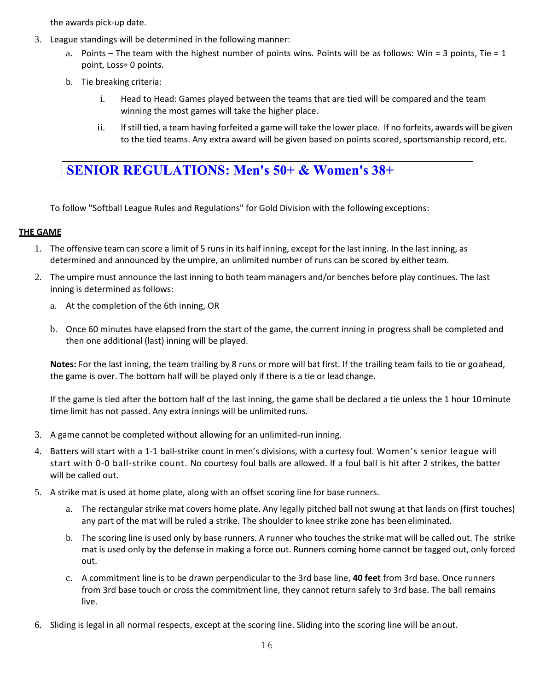the awards pick-up date.

- 3. League standings will be determined in the followingmanner:
	- a. Points The team with the highest number of points wins. Points will be as follows: Win = 3 points, Tie = 1 point, Loss= 0 points.
	- b. Tie breaking criteria:
		- i. Head to Head: Games played between the teams that are tied will be compared and the team winning the most games will take the higher place.
		- ii. Ifstill tied, a team having forfeited a game will take the lower place. If no forfeits, awards will be given to the tied teams. Any extra award will be given based on points scored, sportsmanship record, etc.

# **SENIOR REGULATIONS: Men's 50+ & Women's 38+**

To follow "Softball League Rules and Regulations" for Gold Division with the following exceptions:

## **THE GAME**

- 1. The offensive team can score a limit of 5 runs in its half inning, except for the last inning. In the last inning, as determined and announced by the umpire, an unlimited number of runs can be scored by either team.
- 2. The umpire must announce the last inning to both team managers and/or benches before play continues. The last inning is determined as follows:
	- a. At the completion of the 6th inning, OR
	- b. Once 60 minutes have elapsed from the start of the game, the current inning in progress shall be completed and then one additional (last) inning will be played.

**Notes:** For the last inning, the team trailing by 8 runs or more will bat first. If the trailing team fails to tie or goahead, the game is over. The bottom half will be played only if there is a tie or lead change.

If the game is tied after the bottom half of the last inning, the game shall be declared a tie unless the 1 hour 10minute time limit has not passed. Any extra innings will be unlimited runs.

- 3. A game cannot be completed without allowing for an unlimited-run inning.
- 4. Batters will start with a 1-1 ball-strike count in men's divisions, with a curtesy foul. Women's senior league will start with 0-0 ball-strike count. No courtesy foul balls are allowed. If a foul ball is hit after 2 strikes, the batter will be called out.
- 5. A strike mat is used at home plate, along with an offset scoring line for base runners.
	- a. The rectangular strike mat covers home plate. Any legally pitched ball not swung at that lands on (first touches) any part of the mat will be ruled a strike. The shoulder to knee strike zone has been eliminated.
	- b. The scoring line is used only by base runners. A runner who touches the strike mat will be called out. The strike mat is used only by the defense in making a force out. Runners coming home cannot be tagged out, only forced out.
	- c. A commitment line is to be drawn perpendicular to the 3rd base line, **40 feet** from 3rd base. Once runners from 3rd base touch or cross the commitment line, they cannot return safely to 3rd base. The ball remains live.
- 6. Sliding is legal in all normal respects, except at the scoring line. Sliding into the scoring line will be anout.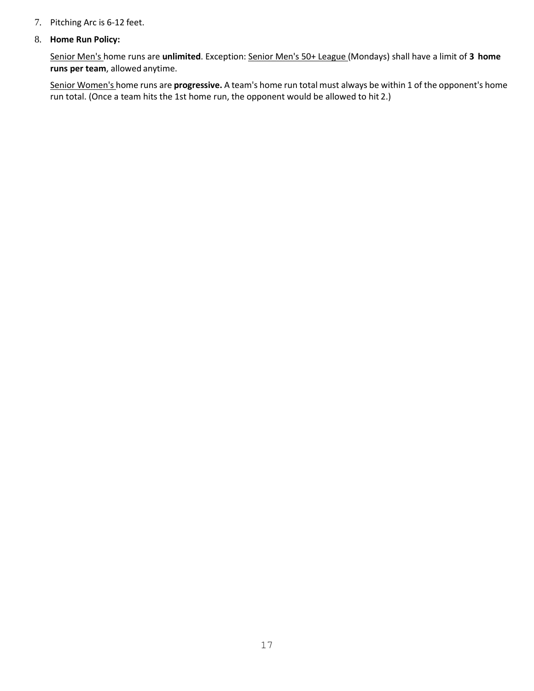#### 7. Pitching Arc is 6-12 feet.

#### 8. **Home Run Policy:**

Senior Men's home runs are **unlimited**. Exception: Senior Men's 50+ League (Mondays) shall have a limit of **3 home runs per team**, allowed anytime.

Senior Women's home runs are **progressive.** A team's home run total must always be within 1 of the opponent's home run total. (Once a team hits the 1st home run, the opponent would be allowed to hit 2.)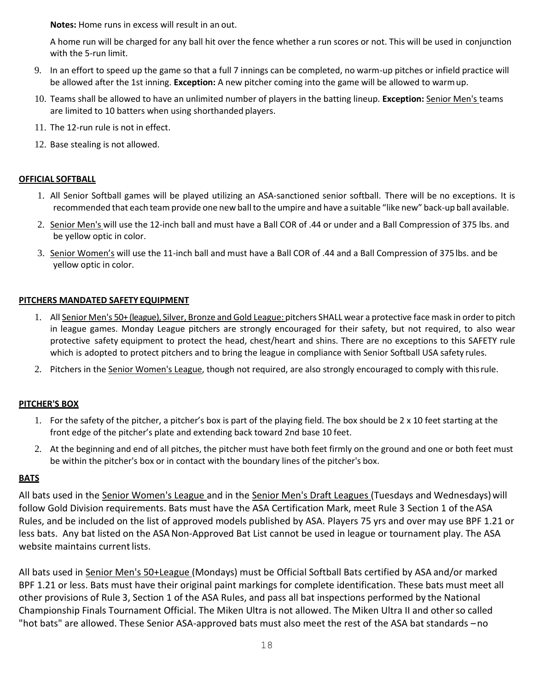**Notes:** Home runs in excess will result in an out.

A home run will be charged for any ball hit over the fence whether a run scores or not. This will be used in conjunction with the 5-run limit.

- 9. In an effort to speed up the game so that a full 7 innings can be completed, no warm-up pitches or infield practice will be allowed after the 1st inning. **Exception:** A new pitcher coming into the game will be allowed to warmup.
- 10. Teams shall be allowed to have an unlimited number of players in the batting lineup. **Exception:** Senior Men's teams are limited to 10 batters when using shorthanded players.
- 11. The 12-run rule is not in effect.
- 12. Base stealing is not allowed.

# **OFFICIAL SOFTBALL**

- 1. All Senior Softball games will be played utilizing an ASA-sanctioned senior softball. There will be no exceptions. It is recommended that each team provide one new ball to the umpire and have a suitable "like new" back-up ball available.
- 2. Senior Men's will use the 12-inch ball and must have a Ball COR of .44 or under and a Ball Compression of 375 lbs. and be yellow optic in color.
- 3. Senior Women's will use the 11-inch ball and must have a Ball COR of .44 and a Ball Compression of 375lbs. and be yellow optic in color.

## **PITCHERS MANDATED SAFETY EQUIPMENT**

- 1. All Senior Men's 50+ (league), Silver, Bronze and Gold League: pitchers SHALL wear a protective face mask in order to pitch in league games. Monday League pitchers are strongly encouraged for their safety, but not required, to also wear protective safety equipment to protect the head, chest/heart and shins. There are no exceptions to this SAFETY rule which is adopted to protect pitchers and to bring the league in compliance with Senior Softball USA safety rules.
- 2. Pitchers in the Senior Women's League, though not required, are also strongly encouraged to comply with thisrule.

# **PITCHER'S BOX**

- 1. For the safety of the pitcher, a pitcher's box is part of the playing field. The box should be 2 x 10 feet starting at the front edge of the pitcher's plate and extending back toward 2nd base 10 feet.
- 2. At the beginning and end of all pitches, the pitcher must have both feet firmly on the ground and one or both feet must be within the pitcher's box or in contact with the boundary lines of the pitcher's box.

# **BATS**

All bats used in the Senior Women's League and in the Senior Men's Draft Leagues (Tuesdays and Wednesdays) will follow Gold Division requirements. Bats must have the ASA Certification Mark, meet Rule 3 Section 1 of the ASA Rules, and be included on the list of approved models published by ASA. Players 75 yrs and over may use BPF 1.21 or less bats. Any bat listed on the ASANon-Approved Bat List cannot be used in league or tournament play. The ASA website maintains current lists.

All bats used in Senior Men's 50+League (Mondays) must be Official Softball Bats certified by ASA and/or marked BPF 1.21 or less. Bats must have their original paint markings for complete identification. These bats must meet all other provisions of Rule 3, Section 1 of the ASA Rules, and pass all bat inspections performed by the National Championship Finals Tournament Official. The Miken Ultra is not allowed. The Miken Ultra II and otherso called "hot bats" are allowed. These Senior ASA-approved bats must also meet the rest of the ASA bat standards –no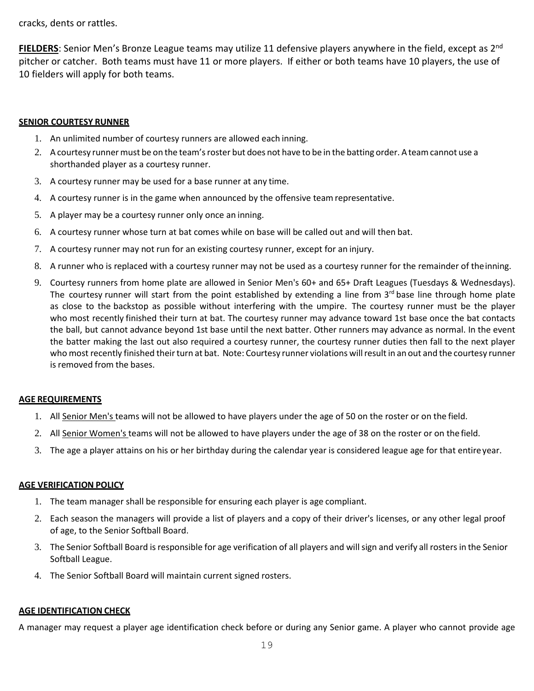cracks, dents or rattles.

**FIELDERS**: Senior Men's Bronze League teams may utilize 11 defensive players anywhere in the field, except as 2<sup>nd</sup> pitcher or catcher. Both teams must have 11 or more players. If either or both teams have 10 players, the use of 10 fielders will apply for both teams.

## **SENIOR COURTESY RUNNER**

- 1. An unlimited number of courtesy runners are allowed each inning.
- 2. A courtesy runner must be on the team's roster but does not have to be in the batting order. A team cannot use a shorthanded player as a courtesy runner.
- 3. A courtesy runner may be used for a base runner at any time.
- 4. A courtesy runner is in the game when announced by the offensive teamrepresentative.
- 5. A player may be a courtesy runner only once an inning.
- 6. A courtesy runner whose turn at bat comes while on base will be called out and will then bat.
- 7. A courtesy runner may not run for an existing courtesy runner, except for an injury.
- 8. A runner who is replaced with a courtesy runner may not be used as a courtesy runner for the remainder of theinning.
- 9. Courtesy runners from home plate are allowed in Senior Men's 60+ and 65+ Draft Leagues (Tuesdays & Wednesdays). The courtesy runner will start from the point established by extending a line from 3<sup>rd</sup> base line through home plate as close to the backstop as possible without interfering with the umpire. The courtesy runner must be the player who most recently finished their turn at bat. The courtesy runner may advance toward 1st base once the bat contacts the ball, but cannot advance beyond 1st base until the next batter. Other runners may advance as normal. In the event the batter making the last out also required a courtesy runner, the courtesy runner duties then fall to the next player who most recently finished their turn at bat. Note: Courtesy runner violations will result in an out and the courtesy runner is removed from the bases.

#### **AGE REQUIREMENTS**

- 1. All Senior Men's teams will not be allowed to have players under the age of 50 on the roster or on the field.
- 2. All Senior Women's teams will not be allowed to have players under the age of 38 on the roster or on the field.
- 3. The age a player attains on his or her birthday during the calendar year is considered league age for that entireyear.

#### **AGE VERIFICATION POLICY**

- 1. The team manager shall be responsible for ensuring each player is age compliant.
- 2. Each season the managers will provide a list of players and a copy of their driver's licenses, or any other legal proof of age, to the Senior Softball Board.
- 3. The Senior Softball Board isresponsible for age verification of all players and willsign and verify all rostersin the Senior Softball League.
- 4. The Senior Softball Board will maintain current signed rosters.

#### **AGE IDENTIFICATION CHECK**

A manager may request a player age identification check before or during any Senior game. A player who cannot provide age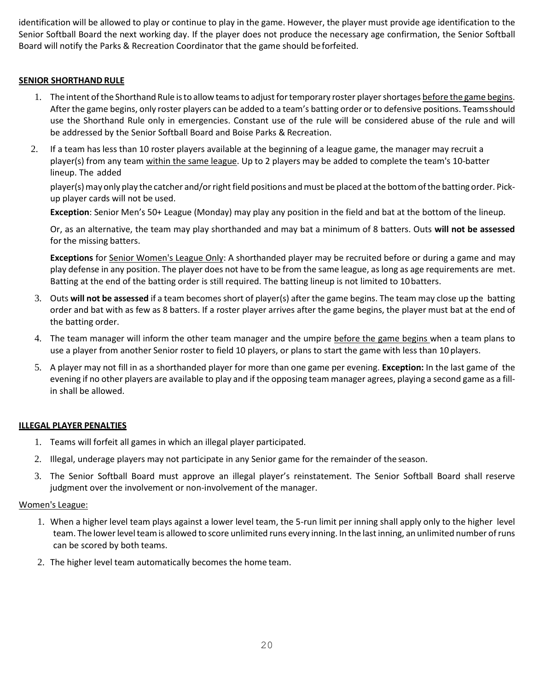identification will be allowed to play or continue to play in the game. However, the player must provide age identification to the Senior Softball Board the next working day. If the player does not produce the necessary age confirmation, the Senior Softball Board will notify the Parks & Recreation Coordinator that the game should beforfeited.

# **SENIOR SHORTHAND RULE**

- 1. The intent of the Shorthand Rule is to allow teams to adjust for temporary roster player shortages before the game begins. After the game begins, only roster players can be added to a team's batting order or to defensive positions. Teamsshould use the Shorthand Rule only in emergencies. Constant use of the rule will be considered abuse of the rule and will be addressed by the Senior Softball Board and Boise Parks & Recreation.
- 2. If a team has less than 10 roster players available at the beginning of a league game, the manager may recruit a player(s) from any team within the same league. Up to 2 players may be added to complete the team's 10-batter lineup. The added

player(s) may only play the catcher and/or right field positions and must be placed at the bottom of the batting order. Pickup player cards will not be used.

**Exception**: Senior Men's 50+ League (Monday) may play any position in the field and bat at the bottom of the lineup.

Or, as an alternative, the team may play shorthanded and may bat a minimum of 8 batters. Outs **will not be assessed** for the missing batters.

**Exceptions** for Senior Women's League Only: A shorthanded player may be recruited before or during a game and may play defense in any position. The player does not have to be from the same league, as long as age requirements are met. Batting at the end of the batting order is still required. The batting lineup is not limited to 10batters.

- 3. Outs **will not be assessed** if a team becomes short of player(s) after the game begins. The team may close up the batting order and bat with as few as 8 batters. If a roster player arrives after the game begins, the player must bat at the end of the batting order.
- 4. The team manager will inform the other team manager and the umpire before the game begins when a team plans to use a player from another Senior roster to field 10 players, or plans to start the game with less than 10 players.
- 5. A player may not fill in as a shorthanded player for more than one game per evening. **Exception:** In the last game of the evening if no other players are available to play and if the opposing team manager agrees, playing a second game as a fillin shall be allowed.

#### **ILLEGAL PLAYER PENALTIES**

- 1. Teams will forfeit all games in which an illegal player participated.
- 2. Illegal, underage players may not participate in any Senior game for the remainder of the season.
- 3. The Senior Softball Board must approve an illegal player's reinstatement. The Senior Softball Board shall reserve judgment over the involvement or non-involvement of the manager.

#### Women's League:

- 1. When a higher level team plays against a lower level team, the 5-run limit per inning shall apply only to the higher level team. The lower level team is allowed to score unlimited runs every inning. In the last inning, an unlimited number of runs can be scored by both teams.
- 2. The higher level team automatically becomes the home team.